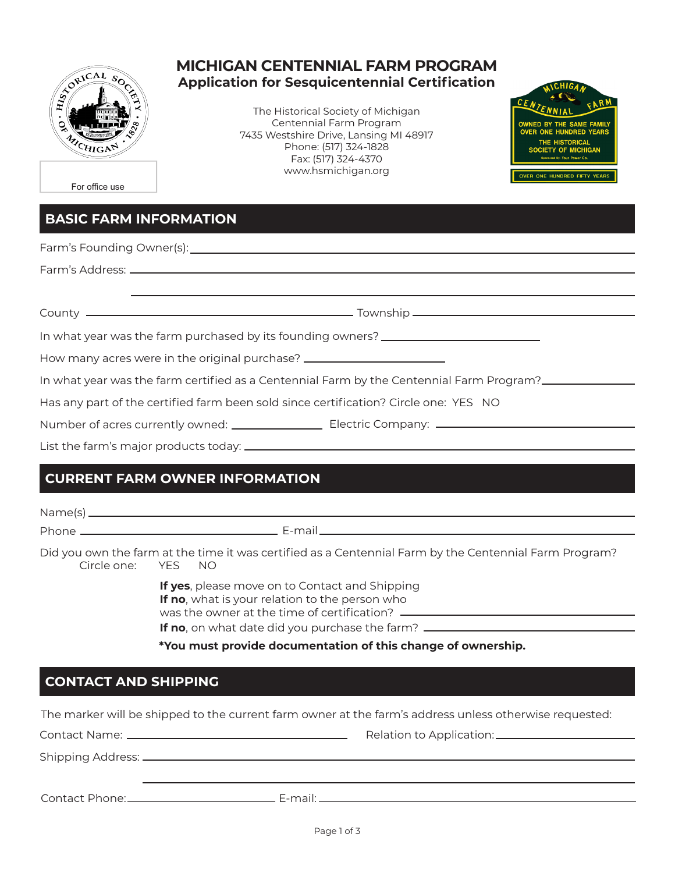

#### **MICHIGAN CENTENNIAL FARM PROGRAM Application for Sesquicentennial Certification**

The Historical Society of Michigan Centennial Farm Program 7435 Westshire Drive, Lansing MI 48917 Phone: (517) 324-1828 Fax: (517) 324-4370 www.hsmichigan.org



For office use

### **BASIC FARM INFORMATION**

| In what year was the farm purchased by its founding owners? _____________________    |                                                                                                                |  |  |  |
|--------------------------------------------------------------------------------------|----------------------------------------------------------------------------------------------------------------|--|--|--|
| How many acres were in the original purchase? __________________________________     |                                                                                                                |  |  |  |
|                                                                                      | In what year was the farm certified as a Centennial Farm by the Centennial Farm Program?                       |  |  |  |
| Has any part of the certified farm been sold since certification? Circle one: YES NO |                                                                                                                |  |  |  |
|                                                                                      | Number of acres currently owned: _____________________________Electric Company: ______________________________ |  |  |  |

List the farm's major products today:  $\Box$ 

## **CURRENT FARM OWNER INFORMATION**

| Did you own the farm at the time it was certified as a Centennial Farm by the Centennial Farm Program?<br>Circle one: YES NO                                                                                                                   |  |  |
|------------------------------------------------------------------------------------------------------------------------------------------------------------------------------------------------------------------------------------------------|--|--|
| If yes, please move on to Contact and Shipping<br>If no, what is your relation to the person who<br>was the owner at the time of certification? __________<br>If no, on what date did you purchase the farm? _________________________________ |  |  |

**\*You must provide documentation of this change of ownership.**

### **CONTACT AND SHIPPING**

The marker will be shipped to the current farm owner at the farm's address unless otherwise requested:

| Contact Phone: 2000 | F-mail <sup>.</sup> |  |
|---------------------|---------------------|--|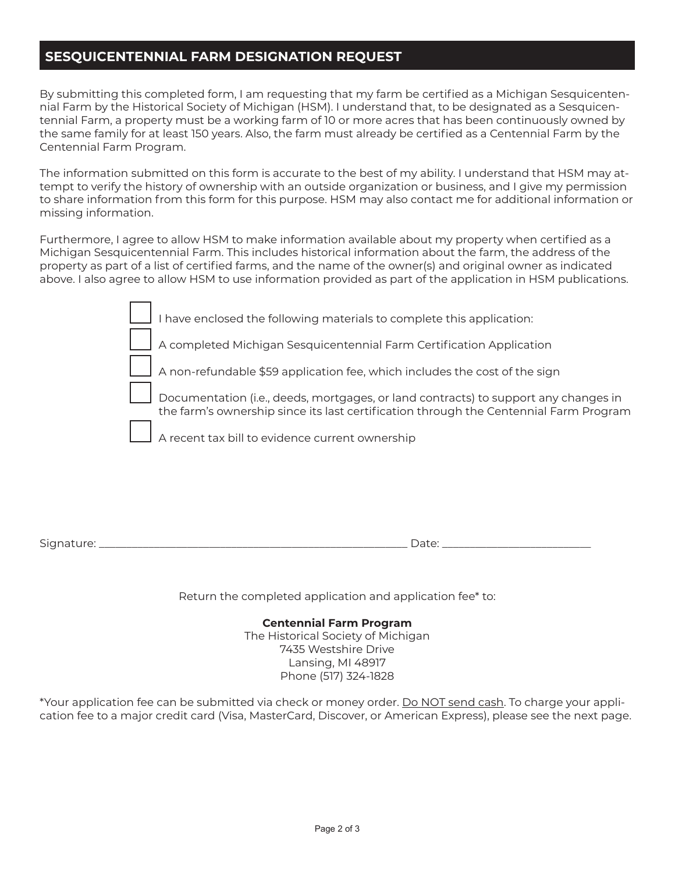#### **SESQUICENTENNIAL FARM DESIGNATION REQUEST**

By submitting this completed form, I am requesting that my farm be certified as a Michigan Sesquicentennial Farm by the Historical Society of Michigan (HSM). I understand that, to be designated as a Sesquicentennial Farm, a property must be a working farm of 10 or more acres that has been continuously owned by the same family for at least 150 years. Also, the farm must already be certified as a Centennial Farm by the Centennial Farm Program.

The information submitted on this form is accurate to the best of my ability. I understand that HSM may attempt to verify the history of ownership with an outside organization or business, and I give my permission to share information from this form for this purpose. HSM may also contact me for additional information or missing information.

Furthermore, I agree to allow HSM to make information available about my property when certified as a Michigan Sesquicentennial Farm. This includes historical information about the farm, the address of the property as part of a list of certified farms, and the name of the owner(s) and original owner as indicated above. I also agree to allow HSM to use information provided as part of the application in HSM publications.

| I have enclosed the following materials to complete this application:                                                                                                        |  |
|------------------------------------------------------------------------------------------------------------------------------------------------------------------------------|--|
| A completed Michigan Sesquicentennial Farm Certification Application                                                                                                         |  |
| A non-refundable \$59 application fee, which includes the cost of the sign                                                                                                   |  |
| Documentation (i.e., deeds, mortgages, or land contracts) to support any changes in<br>the farm's ownership since its last certification through the Centennial Farm Program |  |
| A recent tax bill to evidence current ownership                                                                                                                              |  |

Signature: \_\_\_\_\_\_\_\_\_\_\_\_\_\_\_\_\_\_\_\_\_\_\_\_\_\_\_\_\_\_\_\_\_\_\_\_\_\_\_\_\_\_\_\_\_\_\_\_\_\_\_\_\_\_\_\_ Date: \_\_\_\_\_\_\_\_\_\_\_\_\_\_\_\_\_\_\_\_\_\_\_\_\_\_\_

Return the completed application and application fee\* to:

**Centennial Farm Program** The Historical Society of Michigan 7435 Westshire Drive Lansing, MI 48917 Phone (517) 324-1828

\*Your application fee can be submitted via check or money order. Do NOT send cash. To charge your application fee to a major credit card (Visa, MasterCard, Discover, or American Express), please see the next page.